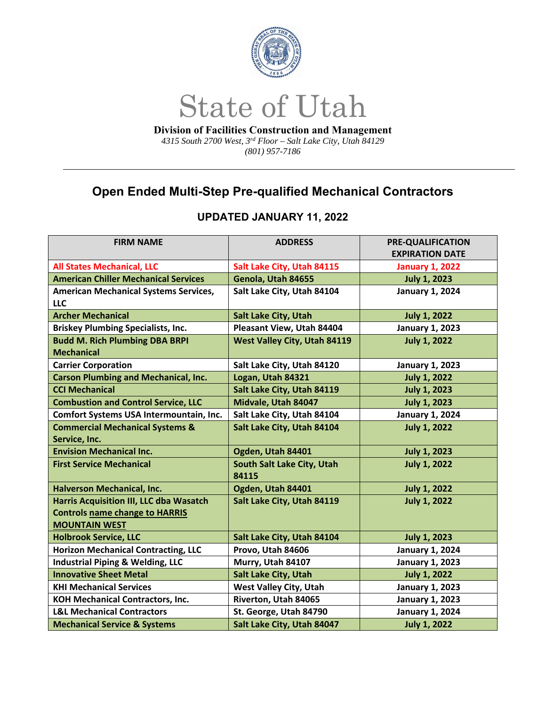

*4315 South 2700 West, 3rd Floor – Salt Lake City, Utah 84129 (801) 957-7186* 

## **Open Ended Multi-Step Pre-qualified Mechanical Contractors**

| <b>FIRM NAME</b>                               | <b>ADDRESS</b>                      | <b>PRE-QUALIFICATION</b> |
|------------------------------------------------|-------------------------------------|--------------------------|
|                                                |                                     | <b>EXPIRATION DATE</b>   |
| <b>All States Mechanical, LLC</b>              | Salt Lake City, Utah 84115          | <b>January 1, 2022</b>   |
| <b>American Chiller Mechanical Services</b>    | Genola, Utah 84655                  | <b>July 1, 2023</b>      |
| <b>American Mechanical Systems Services,</b>   | Salt Lake City, Utah 84104          | <b>January 1, 2024</b>   |
| <b>LLC</b>                                     |                                     |                          |
| <b>Archer Mechanical</b>                       | <b>Salt Lake City, Utah</b>         | <b>July 1, 2022</b>      |
| <b>Briskey Plumbing Specialists, Inc.</b>      | Pleasant View, Utah 84404           | <b>January 1, 2023</b>   |
| <b>Budd M. Rich Plumbing DBA BRPI</b>          | <b>West Valley City, Utah 84119</b> | <b>July 1, 2022</b>      |
| <b>Mechanical</b>                              |                                     |                          |
| <b>Carrier Corporation</b>                     | Salt Lake City, Utah 84120          | <b>January 1, 2023</b>   |
| <b>Carson Plumbing and Mechanical, Inc.</b>    | Logan, Utah 84321                   | <b>July 1, 2022</b>      |
| <b>CCI Mechanical</b>                          | Salt Lake City, Utah 84119          | <b>July 1, 2023</b>      |
| <b>Combustion and Control Service, LLC</b>     | Midvale, Utah 84047                 | <b>July 1, 2023</b>      |
| Comfort Systems USA Intermountain, Inc.        | Salt Lake City, Utah 84104          | <b>January 1, 2024</b>   |
| <b>Commercial Mechanical Systems &amp;</b>     | Salt Lake City, Utah 84104          | <b>July 1, 2022</b>      |
| Service, Inc.                                  |                                     |                          |
| <b>Envision Mechanical Inc.</b>                | Ogden, Utah 84401                   | <b>July 1, 2023</b>      |
| <b>First Service Mechanical</b>                | South Salt Lake City, Utah          | <b>July 1, 2022</b>      |
|                                                | 84115                               |                          |
| Halverson Mechanical, Inc.                     | Ogden, Utah 84401                   | <b>July 1, 2022</b>      |
| <b>Harris Acquisition III, LLC dba Wasatch</b> | Salt Lake City, Utah 84119          | <b>July 1, 2022</b>      |
| <b>Controls name change to HARRIS</b>          |                                     |                          |
| <b>MOUNTAIN WEST</b>                           |                                     |                          |
| <b>Holbrook Service, LLC</b>                   | Salt Lake City, Utah 84104          | <b>July 1, 2023</b>      |
| <b>Horizon Mechanical Contracting, LLC</b>     | Provo, Utah 84606                   | <b>January 1, 2024</b>   |
| <b>Industrial Piping &amp; Welding, LLC</b>    | Murry, Utah 84107                   | <b>January 1, 2023</b>   |
| <b>Innovative Sheet Metal</b>                  | Salt Lake City, Utah                | <b>July 1, 2022</b>      |
| <b>KHI Mechanical Services</b>                 | <b>West Valley City, Utah</b>       | <b>January 1, 2023</b>   |
| <b>KOH Mechanical Contractors, Inc.</b>        | Riverton, Utah 84065                | <b>January 1, 2023</b>   |
| <b>L&amp;L Mechanical Contractors</b>          | St. George, Utah 84790              | <b>January 1, 2024</b>   |
| <b>Mechanical Service &amp; Systems</b>        | Salt Lake City, Utah 84047          | <b>July 1, 2022</b>      |

## **UPDATED JANUARY 11, 2022**